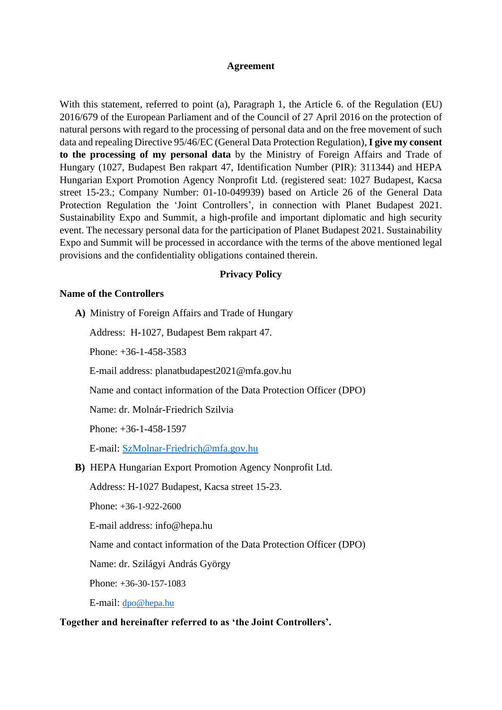#### **Agreement**

With this statement, referred to point (a), Paragraph 1, the Article 6. of the Regulation (EU) 2016/679 of the European Parliament and of the Council of 27 April 2016 on the protection of natural persons with regard to the processing of personal data and on the free movement of such data and repealing Directive 95/46/EC (General Data Protection Regulation), **I give my consent to the processing of my personal data** by the Ministry of Foreign Affairs and Trade of Hungary (1027, Budapest Ben rakpart 47, Identification Number (PIR): 311344) and HEPA Hungarian Export Promotion Agency Nonprofit Ltd. (registered seat: 1027 Budapest, Kacsa street 15-23.; Company Number: 01-10-049939) based on Article 26 of the General Data Protection Regulation the 'Joint Controllers', in connection with Planet Budapest 2021. Sustainability Expo and Summit, a high-profile and important diplomatic and high security event. The necessary personal data for the participation of Planet Budapest 2021. Sustainability Expo and Summit will be processed in accordance with the terms of the above mentioned legal provisions and the confidentiality obligations contained therein.

#### **Privacy Policy**

### **Name of the Controllers**

**A)** Ministry of Foreign Affairs and Trade of Hungary

Address: H-1027, Budapest Bem rakpart 47.

Phone: +36-1-458-3583

E-mail address: planatbudapest2021@mfa.gov.hu

Name and contact information of the Data Protection Officer (DPO)

Name: dr. Molnár-Friedrich Szilvia

Phone: +36-1-458-1597

E-mail: [SzMolnar-Friedrich@mfa.gov.hu](mailto:SzMolnar-Friedrich@mfa.gov.hu)

**B)** HEPA Hungarian Export Promotion Agency Nonprofit Ltd.

Address: H-1027 Budapest, Kacsa street 15-23.

Phone: +36-1-922-2600

E-mail address: info@hepa.hu

Name and contact information of the Data Protection Officer (DPO)

Name: dr. Szilágyi András György

Phone: +36-30-157-1083

E-mail: [dpo@hepa.hu](mailto:dpo@hepa.hu)

#### **Together and hereinafter referred to as 'the Joint Controllers'.**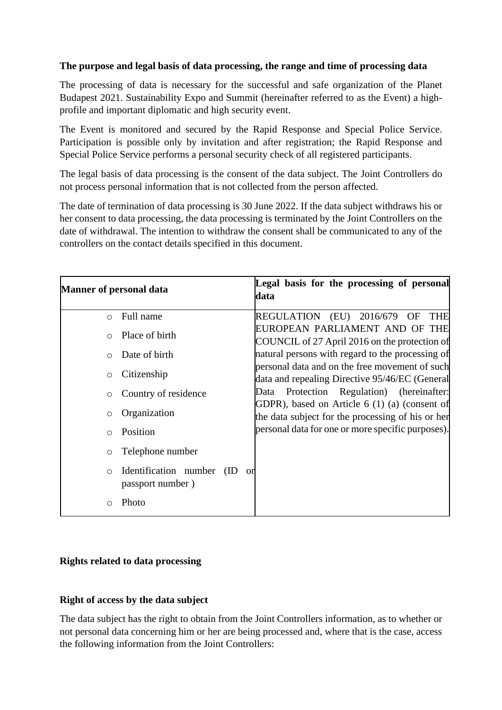## **The purpose and legal basis of data processing, the range and time of processing data**

The processing of data is necessary for the successful and safe organization of the Planet Budapest 2021. Sustainability Expo and Summit (hereinafter referred to as the Event) a highprofile and important diplomatic and high security event.

The Event is monitored and secured by the Rapid Response and Special Police Service. Participation is possible only by invitation and after registration; the Rapid Response and Special Police Service performs a personal security check of all registered participants.

The legal basis of data processing is the consent of the data subject. The Joint Controllers do not process personal information that is not collected from the person affected.

The date of termination of data processing is 30 June 2022. If the data subject withdraws his or her consent to data processing, the data processing is terminated by the Joint Controllers on the date of withdrawal. The intention to withdraw the consent shall be communicated to any of the controllers on the contact details specified in this document.

| <b>Manner of personal data</b>                                     | Legal basis for the processing of personal<br>data                                                 |
|--------------------------------------------------------------------|----------------------------------------------------------------------------------------------------|
| Full name<br>$\circ$                                               | REGULATION (EU) 2016/679 OF<br><b>THE</b><br>EUROPEAN PARLIAMENT AND OF THE                        |
| Place of birth<br>$\bigcirc$                                       | COUNCIL of 27 April 2016 on the protection of                                                      |
| Date of birth<br>$\bigcirc$                                        | natural persons with regard to the processing of<br>personal data and on the free movement of such |
| Citizenship<br>$\circ$                                             | data and repealing Directive 95/46/EC (General                                                     |
| Country of residence<br>O                                          | Protection Regulation) (hereinafter:<br>Data<br>GDPR), based on Article 6 (1) (a) (consent of      |
| Organization<br>O                                                  | the data subject for the processing of his or her                                                  |
| Position<br>$\bigcirc$                                             | personal data for one or more specific purposes).                                                  |
| Telephone number<br>O                                              |                                                                                                    |
| Identification number<br>(ID)<br>or<br>$\circ$<br>passport number) |                                                                                                    |
| Photo<br>∩                                                         |                                                                                                    |

# **Rights related to data processing**

## **Right of access by the data subject**

The data subject has the right to obtain from the Joint Controllers information, as to whether or not personal data concerning him or her are being processed and, where that is the case, access the following information from the Joint Controllers: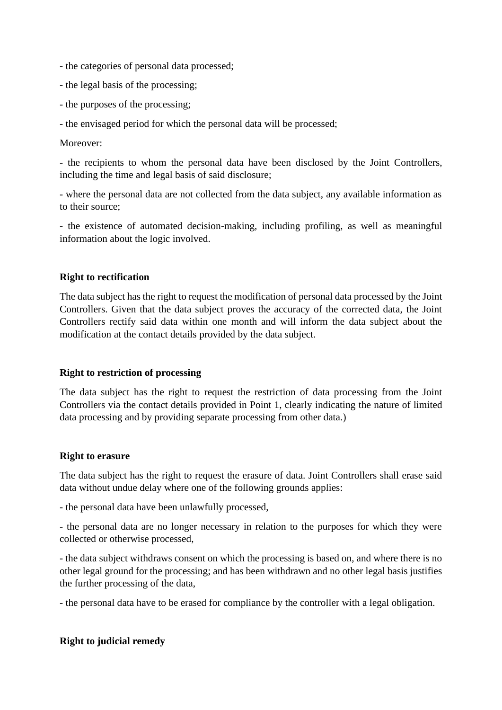- the categories of personal data processed;
- the legal basis of the processing;
- the purposes of the processing;
- the envisaged period for which the personal data will be processed;

### Moreover:

- the recipients to whom the personal data have been disclosed by the Joint Controllers, including the time and legal basis of said disclosure;

- where the personal data are not collected from the data subject, any available information as to their source;

- the existence of automated decision-making, including profiling, as well as meaningful information about the logic involved.

### **Right to rectification**

The data subject has the right to request the modification of personal data processed by the Joint Controllers. Given that the data subject proves the accuracy of the corrected data, the Joint Controllers rectify said data within one month and will inform the data subject about the modification at the contact details provided by the data subject.

### **Right to restriction of processing**

The data subject has the right to request the restriction of data processing from the Joint Controllers via the contact details provided in Point 1, clearly indicating the nature of limited data processing and by providing separate processing from other data.)

### **Right to erasure**

The data subject has the right to request the erasure of data. Joint Controllers shall erase said data without undue delay where one of the following grounds applies:

- the personal data have been unlawfully processed,

- the personal data are no longer necessary in relation to the purposes for which they were collected or otherwise processed,

- the data subject withdraws consent on which the processing is based on, and where there is no other legal ground for the processing; and has been withdrawn and no other legal basis justifies the further processing of the data,

- the personal data have to be erased for compliance by the controller with a legal obligation.

### **Right to judicial remedy**